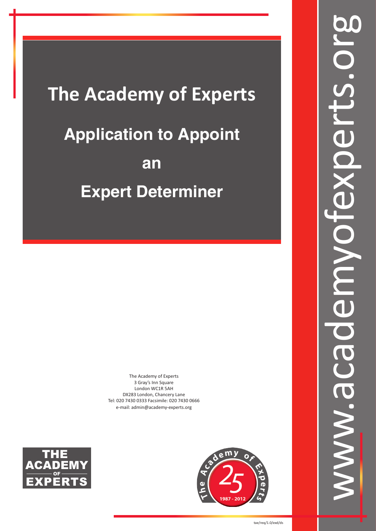# **The Academy of Experts Application to Appoint an Expert Determiner**

The Academy of Experts 3 Gray's Inn Square London WC1R 5AH DX283 London, Chancery Lane Tel: 020 7430 0333 Facsimile: 020 7430 0666 e-mail: admin@academy-experts.org



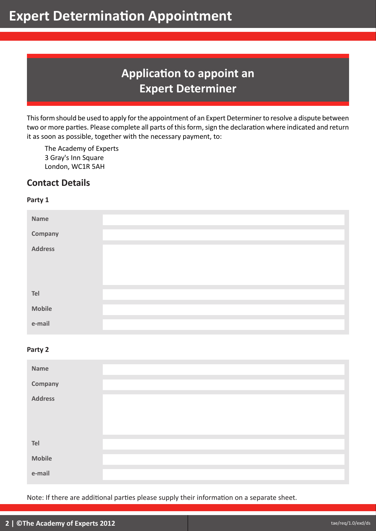# **Application to appoint an Expert Determiner**

This form should be used to apply for the appointment of an Expert Determiner to resolve a dispute between two or more parties. Please complete all parts of this form, sign the declaration where indicated and return it as soon as possible, together with the necessary payment, to:

The Academy of Experts 3 Gray's Inn Square London, WC1R 5AH

# **Contact Details**

### **Party 1**

| Name           |  |
|----------------|--|
| <b>Company</b> |  |
| <b>Address</b> |  |
| Tel            |  |
| <b>Mobile</b>  |  |
| e-mail         |  |

### **Party 2**

| Name           |  |
|----------------|--|
| Company        |  |
| <b>Address</b> |  |
| Tel            |  |
| <b>Mobile</b>  |  |
| e-mail         |  |

Note: If there are additional parties please supply their information on a separate sheet.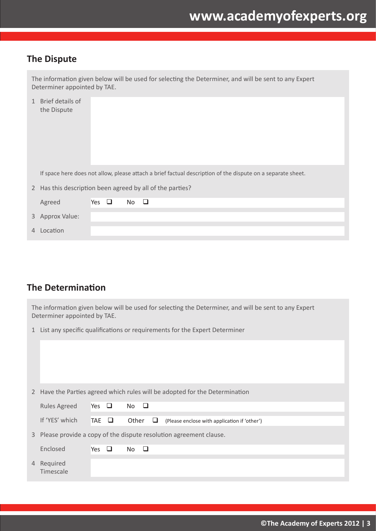### **The Dispute**

|             | The information given below will be used for selecting the Determiner, and will be sent to any Expert<br>Determiner appointed by TAE. |            |  |    |   |  |  |  |  |  |
|-------------|---------------------------------------------------------------------------------------------------------------------------------------|------------|--|----|---|--|--|--|--|--|
| 1           | Brief details of<br>the Dispute                                                                                                       |            |  |    |   |  |  |  |  |  |
|             | If space here does not allow, please attach a brief factual description of the dispute on a separate sheet.                           |            |  |    |   |  |  |  |  |  |
| $2^{\circ}$ | Has this description been agreed by all of the parties?                                                                               |            |  |    |   |  |  |  |  |  |
|             | Agreed                                                                                                                                | Yes $\Box$ |  | No | □ |  |  |  |  |  |
|             | 3 Approx Value:                                                                                                                       |            |  |    |   |  |  |  |  |  |
| 4           | Location                                                                                                                              |            |  |    |   |  |  |  |  |  |

# **The Determination**

The information given below will be used for selecting the Determiner, and will be sent to any Expert Determiner appointed by TAE.

1 List any specific qualifications or requirements for the Expert Determiner

|   |                       |            |             |   | 2 Have the Parties agreed which rules will be adopted for the Determination |
|---|-----------------------|------------|-------------|---|-----------------------------------------------------------------------------|
|   | <b>Rules Agreed</b>   | Yes $\Box$ | $No$ $\Box$ |   |                                                                             |
|   | If 'YES' which        | TAE O      | Other       | ⊔ | (Please enclose with application if 'other')                                |
|   |                       |            |             |   | 3 Please provide a copy of the dispute resolution agreement clause.         |
|   | Enclosed              | Yes $\Box$ | No.<br>ப    |   |                                                                             |
| 4 | Required<br>Timescale |            |             |   |                                                                             |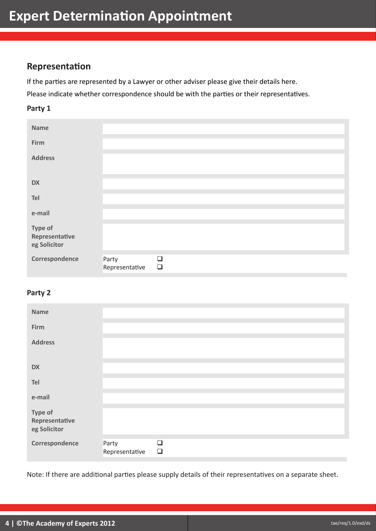### **Representation**

If the parties are represented by a Lawyer or other adviser please give their details here. Please indicate whether correspondence should be with the parties or their representatives.

### **Party 1**

| <b>Name</b>                               |                         |                  |  |  |
|-------------------------------------------|-------------------------|------------------|--|--|
| Firm                                      |                         |                  |  |  |
| <b>Address</b>                            |                         |                  |  |  |
| <b>DX</b>                                 |                         |                  |  |  |
| Tel                                       |                         |                  |  |  |
| e-mail                                    |                         |                  |  |  |
| Type of<br>Representative<br>eg Solicitor |                         |                  |  |  |
| Correspondence                            | Party<br>Representative | $\Box$<br>$\Box$ |  |  |

### **Party 2**

| <b>Name</b>                               |                         |                  |  |  |
|-------------------------------------------|-------------------------|------------------|--|--|
| Firm                                      |                         |                  |  |  |
| <b>Address</b>                            |                         |                  |  |  |
|                                           |                         |                  |  |  |
| <b>DX</b>                                 |                         |                  |  |  |
| Tel                                       |                         |                  |  |  |
| e-mail                                    |                         |                  |  |  |
| Type of<br>Representative<br>eg Solicitor |                         |                  |  |  |
| Correspondence                            | Party<br>Representative | $\Box$<br>$\Box$ |  |  |

Note: If there are additional parties please supply details of their representatives on a separate sheet.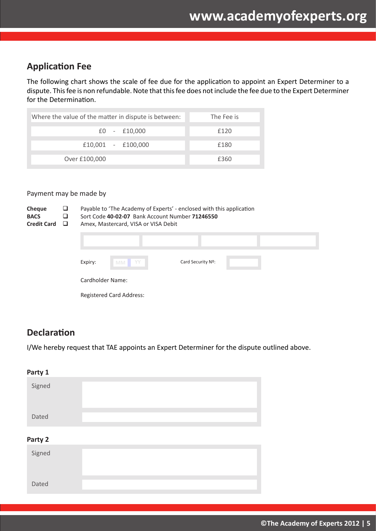## **Application Fee**

The following chart shows the scale of fee due for the application to appoint an Expert Determiner to a dispute. This fee is non refundable. Note that this fee does not include the fee due to the Expert Determiner for the Determination.

| Where the value of the matter in dispute is between: |                | The Fee is |
|------------------------------------------------------|----------------|------------|
|                                                      | $E0 - E10,000$ | f120       |
| $£10,001 - £100,000$                                 |                | f180       |
| Over £100,000                                        |                | £360       |

### Payment may be made by

| Cheque<br><b>BACS</b><br><b>Credit Card</b> | ⊔<br>⊔<br>□ |                  | Payable to 'The Academy of Experts' - enclosed with this application<br>Sort Code 40-02-07 Bank Account Number 71246550<br>Amex, Mastercard, VISA or VISA Debit |                   |  |  |  |
|---------------------------------------------|-------------|------------------|-----------------------------------------------------------------------------------------------------------------------------------------------------------------|-------------------|--|--|--|
|                                             |             |                  |                                                                                                                                                                 |                   |  |  |  |
|                                             |             | Expiry:          | YY<br><b>MM</b>                                                                                                                                                 | Card Security Nº: |  |  |  |
|                                             |             | Cardholder Name: |                                                                                                                                                                 |                   |  |  |  |
|                                             |             |                  | <b>Registered Card Address:</b>                                                                                                                                 |                   |  |  |  |

### **Declaration**

I/We hereby request that TAE appoints an Expert Determiner for the dispute outlined above.

| Party 1 |  |
|---------|--|
| Signed  |  |
| Dated   |  |
| Party 2 |  |
| Signed  |  |
|         |  |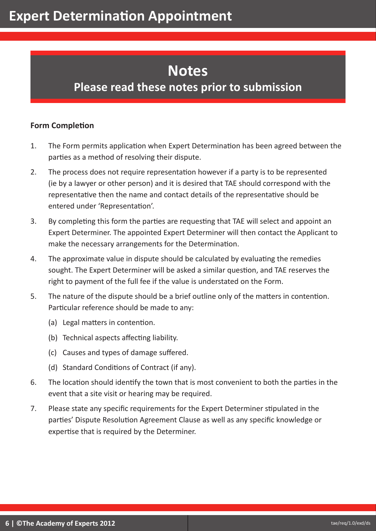# **Notes**

# **Please read these notes prior to submission**

### **Form Completion**

- 1. The Form permits application when Expert Determination has been agreed between the parties as a method of resolving their dispute.
- 2. The process does not require representation however if a party is to be represented (ie by a lawyer or other person) and it is desired that TAE should correspond with the representative then the name and contact details of the representative should be entered under 'Representation'.
- 3. By completing this form the parties are requesting that TAE will select and appoint an Expert Determiner. The appointed Expert Determiner will then contact the Applicant to make the necessary arrangements for the Determination.
- 4. The approximate value in dispute should be calculated by evaluating the remedies sought. The Expert Determiner will be asked a similar question, and TAE reserves the right to payment of the full fee if the value is understated on the Form.
- 5. The nature of the dispute should be a brief outline only of the matters in contention. Particular reference should be made to any:
	- (a) Legal matters in contention.
	- (b) Technical aspects affecting liability.
	- (c) Causes and types of damage suffered.
	- (d) Standard Conditions of Contract (if any).
- 6. The location should identify the town that is most convenient to both the parties in the event that a site visit or hearing may be required.
- 7. Please state any specific requirements for the Expert Determiner stipulated in the parties' Dispute Resolution Agreement Clause as well as any specific knowledge or expertise that is required by the Determiner.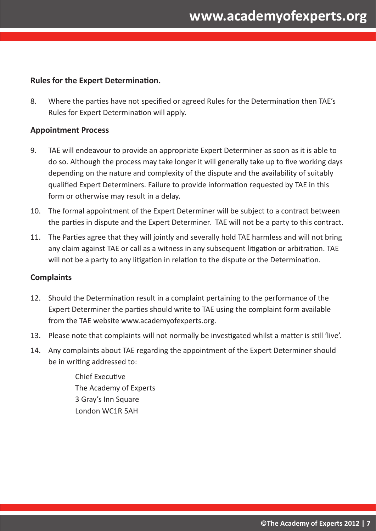### **Rules for the Expert Determination.**

8. Where the parties have not specified or agreed Rules for the Determination then TAE's Rules for Expert Determination will apply.

### **Appointment Process**

- 9. TAE will endeavour to provide an appropriate Expert Determiner as soon as it is able to do so. Although the process may take longer it will generally take up to five working days depending on the nature and complexity of the dispute and the availability of suitably qualified Expert Determiners. Failure to provide information requested by TAE in this form or otherwise may result in a delay.
- 10. The formal appointment of the Expert Determiner will be subject to a contract between the parties in dispute and the Expert Determiner. TAE will not be a party to this contract.
- 11. The Parties agree that they will jointly and severally hold TAE harmless and will not bring any claim against TAE or call as a witness in any subsequent litigation or arbitration. TAE will not be a party to any litigation in relation to the dispute or the Determination.

### **Complaints**

- 12. Should the Determination result in a complaint pertaining to the performance of the Expert Determiner the parties should write to TAE using the complaint form available from the TAE website www.academyofexperts.org.
- 13. Please note that complaints will not normally be investigated whilst a matter is still 'live'.
- 14. Any complaints about TAE regarding the appointment of the Expert Determiner should be in writing addressed to:

Chief Executive The Academy of Experts 3 Gray's Inn Square London WC1R 5AH